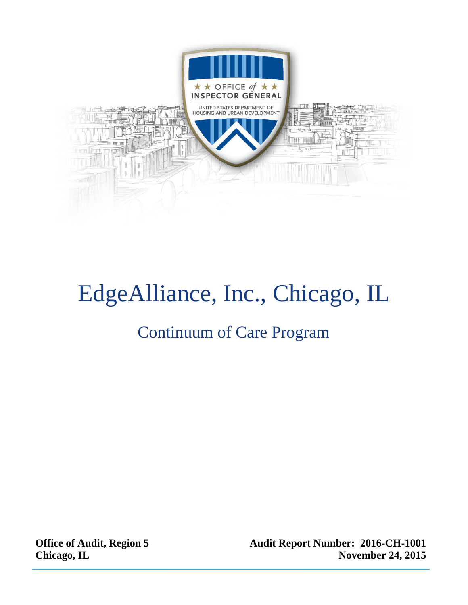

# EdgeAlliance, Inc., Chicago, IL

### Continuum of Care Program

**Office of Audit, Region 5 Chicago, IL** 

**Audit Report Number: 2016-CH-1001 November 24, 2015**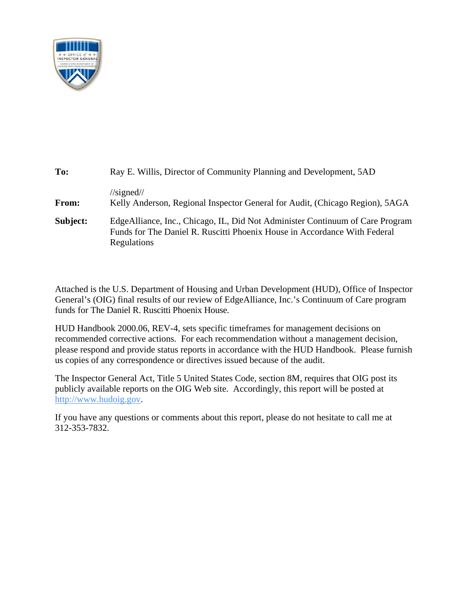

| To:      | Ray E. Willis, Director of Community Planning and Development, 5AD                                                                                                         |
|----------|----------------------------------------------------------------------------------------------------------------------------------------------------------------------------|
| From:    | $\frac{\sqrt{2}}{3}$<br>Kelly Anderson, Regional Inspector General for Audit, (Chicago Region), 5AGA                                                                       |
| Subject: | Edge Alliance, Inc., Chicago, IL, Did Not Administer Continuum of Care Program<br>Funds for The Daniel R. Ruscitti Phoenix House in Accordance With Federal<br>Regulations |

Attached is the U.S. Department of Housing and Urban Development (HUD), Office of Inspector General's (OIG) final results of our review of EdgeAlliance, Inc.'s Continuum of Care program funds for The Daniel R. Ruscitti Phoenix House.

HUD Handbook 2000.06, REV-4, sets specific timeframes for management decisions on recommended corrective actions. For each recommendation without a management decision, please respond and provide status reports in accordance with the HUD Handbook. Please furnish us copies of any correspondence or directives issued because of the audit.

The Inspector General Act, Title 5 United States Code, section 8M, requires that OIG post its publicly available reports on the OIG Web site. Accordingly, this report will be posted at http://www.hudoig.gov.

If you have any questions or comments about this report, please do not hesitate to call me at 312-353-7832.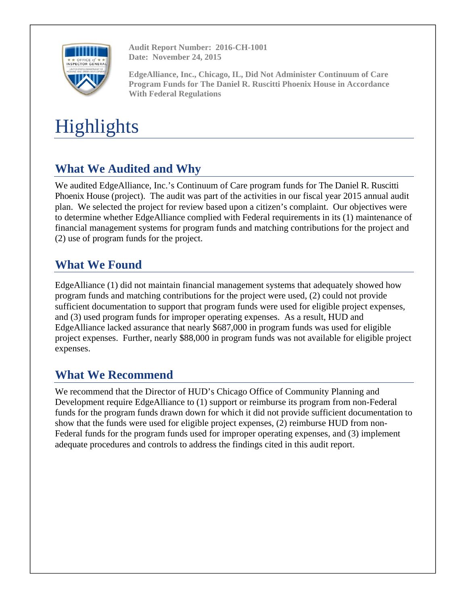

**Audit Report Number: 2016-CH-1001 Date: November 24, 2015** 

**EdgeAlliance, Inc., Chicago, IL, Did Not Administer Continuum of Care Program Funds for The Daniel R. Ruscitti Phoenix House in Accordance With Federal Regulations** 

## **Highlights**

### **What We Audited and Why**

We audited EdgeAlliance, Inc.'s Continuum of Care program funds for The Daniel R. Ruscitti Phoenix House (project). The audit was part of the activities in our fiscal year 2015 annual audit plan. We selected the project for review based upon a citizen's complaint. Our objectives were to determine whether EdgeAlliance complied with Federal requirements in its (1) maintenance of financial management systems for program funds and matching contributions for the project and (2) use of program funds for the project.

### **What We Found**

EdgeAlliance (1) did not maintain financial management systems that adequately showed how program funds and matching contributions for the project were used, (2) could not provide sufficient documentation to support that program funds were used for eligible project expenses, and (3) used program funds for improper operating expenses. As a result, HUD and EdgeAlliance lacked assurance that nearly \$687,000 in program funds was used for eligible project expenses. Further, nearly \$88,000 in program funds was not available for eligible project expenses.

### **What We Recommend**

We recommend that the Director of HUD's Chicago Office of Community Planning and Development require EdgeAlliance to (1) support or reimburse its program from non-Federal funds for the program funds drawn down for which it did not provide sufficient documentation to show that the funds were used for eligible project expenses, (2) reimburse HUD from non-Federal funds for the program funds used for improper operating expenses, and (3) implement adequate procedures and controls to address the findings cited in this audit report.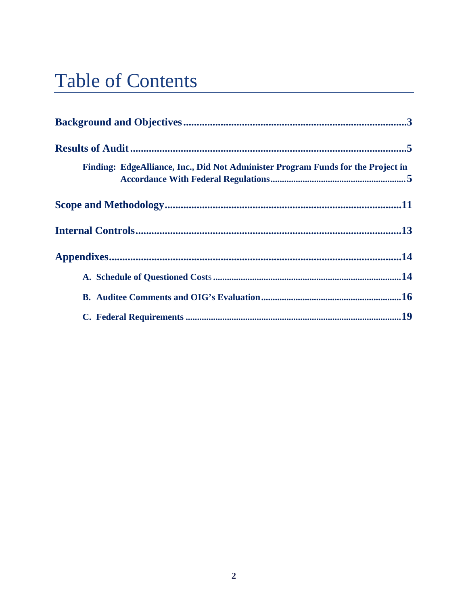## **Table of Contents**

| Finding: EdgeAlliance, Inc., Did Not Administer Program Funds for the Project in |  |
|----------------------------------------------------------------------------------|--|
|                                                                                  |  |
|                                                                                  |  |
|                                                                                  |  |
|                                                                                  |  |
|                                                                                  |  |
|                                                                                  |  |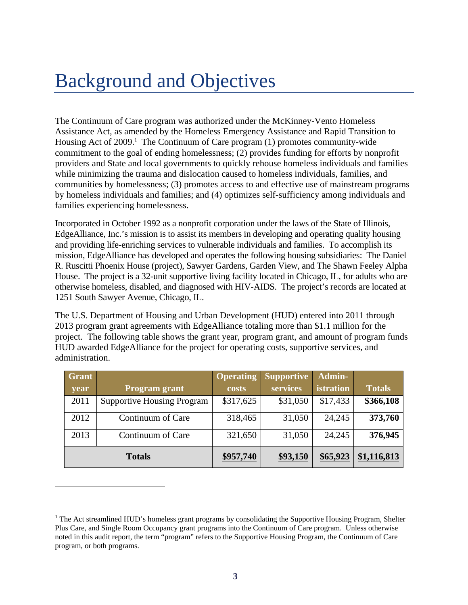## Background and Objectives

The Continuum of Care program was authorized under the McKinney-Vento Homeless Assistance Act, as amended by the Homeless Emergency Assistance and Rapid Transition to Housing Act of  $2009$ .<sup>1</sup> The Continuum of Care program  $(1)$  promotes community-wide commitment to the goal of ending homelessness; (2) provides funding for efforts by nonprofit providers and State and local governments to quickly rehouse homeless individuals and families while minimizing the trauma and dislocation caused to homeless individuals, families, and communities by homelessness; (3) promotes access to and effective use of mainstream programs by homeless individuals and families; and (4) optimizes self-sufficiency among individuals and families experiencing homelessness.

Incorporated in October 1992 as a nonprofit corporation under the laws of the State of Illinois, EdgeAlliance, Inc.'s mission is to assist its members in developing and operating quality housing and providing life-enriching services to vulnerable individuals and families. To accomplish its mission, EdgeAlliance has developed and operates the following housing subsidiaries: The Daniel R. Ruscitti Phoenix House (project), Sawyer Gardens, Garden View, and The Shawn Feeley Alpha House. The project is a 32-unit supportive living facility located in Chicago, IL, for adults who are otherwise homeless, disabled, and diagnosed with HIV-AIDS. The project's records are located at 1251 South Sawyer Avenue, Chicago, IL.

The U.S. Department of Housing and Urban Development (HUD) entered into 2011 through 2013 program grant agreements with EdgeAlliance totaling more than \$1.1 million for the project. The following table shows the grant year, program grant, and amount of program funds HUD awarded EdgeAlliance for the project for operating costs, supportive services, and administration.

| <b>Grant</b> |                                   | <b>Operating</b> | <b>Supportive</b> | Admin-    |               |
|--------------|-----------------------------------|------------------|-------------------|-----------|---------------|
| year         | <b>Program grant</b>              | costs            | services          | istration | <b>Totals</b> |
| 2011         | <b>Supportive Housing Program</b> | \$317,625        | \$31,050          | \$17,433  | \$366,108     |
| 2012         | Continuum of Care                 | 318,465          | 31,050            | 24,245    | 373,760       |
| 2013         | Continuum of Care                 | 321,650          | 31,050            | 24,245    | 376,945       |
|              | <b>Totals</b>                     | \$957,740        | \$93,150          | \$65,923  | \$1,116,813   |

 $\overline{a}$ 

<sup>&</sup>lt;sup>1</sup> The Act streamlined HUD's homeless grant programs by consolidating the Supportive Housing Program, Shelter Plus Care, and Single Room Occupancy grant programs into the Continuum of Care program. Unless otherwise noted in this audit report, the term "program" refers to the Supportive Housing Program, the Continuum of Care program, or both programs.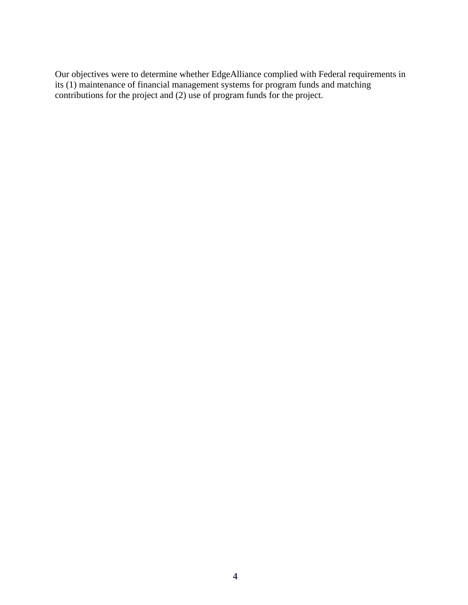Our objectives were to determine whether EdgeAlliance complied with Federal requirements in its (1) maintenance of financial management systems for program funds and matching contributions for the project and (2) use of program funds for the project.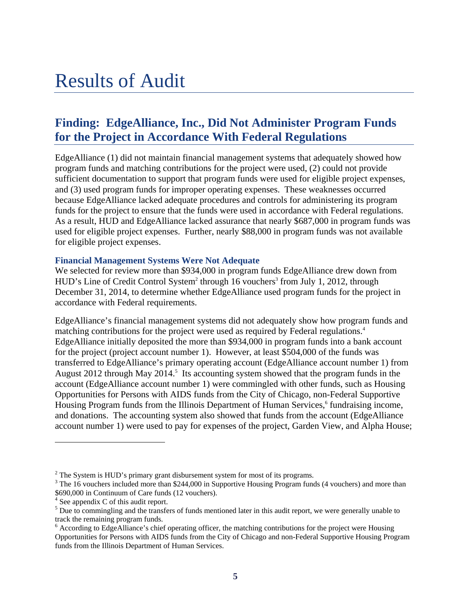### Results of Audit

### **Finding: EdgeAlliance, Inc., Did Not Administer Program Funds for the Project in Accordance With Federal Regulations**

EdgeAlliance (1) did not maintain financial management systems that adequately showed how program funds and matching contributions for the project were used, (2) could not provide sufficient documentation to support that program funds were used for eligible project expenses, and (3) used program funds for improper operating expenses. These weaknesses occurred because EdgeAlliance lacked adequate procedures and controls for administering its program funds for the project to ensure that the funds were used in accordance with Federal regulations. As a result, HUD and EdgeAlliance lacked assurance that nearly \$687,000 in program funds was used for eligible project expenses. Further, nearly \$88,000 in program funds was not available for eligible project expenses.

#### **Financial Management Systems Were Not Adequate**

We selected for review more than \$934,000 in program funds EdgeAlliance drew down from HUD's Line of Credit Control System<sup>2</sup> through 16 vouchers<sup>3</sup> from July 1, 2012, through December 31, 2014, to determine whether EdgeAlliance used program funds for the project in accordance with Federal requirements.

EdgeAlliance's financial management systems did not adequately show how program funds and matching contributions for the project were used as required by Federal regulations.<sup>4</sup> EdgeAlliance initially deposited the more than \$934,000 in program funds into a bank account for the project (project account number 1). However, at least \$504,000 of the funds was transferred to EdgeAlliance's primary operating account (EdgeAlliance account number 1) from August 2012 through May 2014.<sup>5</sup> Its accounting system showed that the program funds in the account (EdgeAlliance account number 1) were commingled with other funds, such as Housing Opportunities for Persons with AIDS funds from the City of Chicago, non-Federal Supportive Housing Program funds from the Illinois Department of Human Services,<sup>6</sup> fundraising income, and donations. The accounting system also showed that funds from the account (EdgeAlliance account number 1) were used to pay for expenses of the project, Garden View, and Alpha House;

l

<sup>&</sup>lt;sup>2</sup> The System is HUD's primary grant disbursement system for most of its programs.<br><sup>3</sup> The 16 youghers included more than \$244,000 in Supportive Hougher Program fun

<sup>&</sup>lt;sup>3</sup> The 16 vouchers included more than \$244,000 in Supportive Housing Program funds (4 vouchers) and more than \$690,000 in Continuum of Care funds (12 vouchers).

<sup>&</sup>lt;sup>4</sup> See appendix C of this audit report.

 $<sup>5</sup>$  Due to commingling and the transfers of funds mentioned later in this audit report, we were generally unable to</sup> track the remaining program funds.

<sup>&</sup>lt;sup>6</sup> According to EdgeAlliance's chief operating officer, the matching contributions for the project were Housing Opportunities for Persons with AIDS funds from the City of Chicago and non-Federal Supportive Housing Program funds from the Illinois Department of Human Services.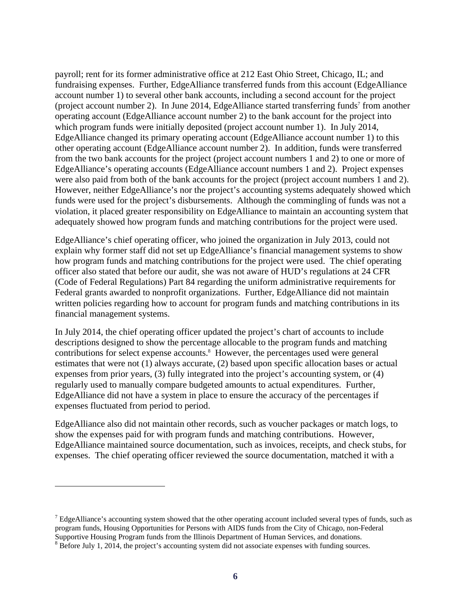payroll; rent for its former administrative office at 212 East Ohio Street, Chicago, IL; and fundraising expenses. Further, EdgeAlliance transferred funds from this account (EdgeAlliance account number 1) to several other bank accounts, including a second account for the project (project account number 2). In June 2014, Edge Alliance started transferring funds<sup>7</sup> from another operating account (EdgeAlliance account number 2) to the bank account for the project into which program funds were initially deposited (project account number 1). In July 2014, EdgeAlliance changed its primary operating account (EdgeAlliance account number 1) to this other operating account (EdgeAlliance account number 2). In addition, funds were transferred from the two bank accounts for the project (project account numbers 1 and 2) to one or more of EdgeAlliance's operating accounts (EdgeAlliance account numbers 1 and 2). Project expenses were also paid from both of the bank accounts for the project (project account numbers 1 and 2). However, neither EdgeAlliance's nor the project's accounting systems adequately showed which funds were used for the project's disbursements. Although the commingling of funds was not a violation, it placed greater responsibility on EdgeAlliance to maintain an accounting system that adequately showed how program funds and matching contributions for the project were used.

EdgeAlliance's chief operating officer, who joined the organization in July 2013, could not explain why former staff did not set up EdgeAlliance's financial management systems to show how program funds and matching contributions for the project were used. The chief operating officer also stated that before our audit, she was not aware of HUD's regulations at 24 CFR (Code of Federal Regulations) Part 84 regarding the uniform administrative requirements for Federal grants awarded to nonprofit organizations. Further, EdgeAlliance did not maintain written policies regarding how to account for program funds and matching contributions in its financial management systems.

In July 2014, the chief operating officer updated the project's chart of accounts to include descriptions designed to show the percentage allocable to the program funds and matching contributions for select expense accounts.<sup>8</sup> However, the percentages used were general estimates that were not (1) always accurate, (2) based upon specific allocation bases or actual expenses from prior years, (3) fully integrated into the project's accounting system, or (4) regularly used to manually compare budgeted amounts to actual expenditures. Further, EdgeAlliance did not have a system in place to ensure the accuracy of the percentages if expenses fluctuated from period to period.

EdgeAlliance also did not maintain other records, such as voucher packages or match logs, to show the expenses paid for with program funds and matching contributions. However, EdgeAlliance maintained source documentation, such as invoices, receipts, and check stubs, for expenses. The chief operating officer reviewed the source documentation, matched it with a

 $\overline{a}$ 

 $<sup>7</sup>$  EdgeAlliance's accounting system showed that the other operating account included several types of funds, such as</sup> program funds, Housing Opportunities for Persons with AIDS funds from the City of Chicago, non-Federal Supportive Housing Program funds from the Illinois Department of Human Services, and donations.

<sup>&</sup>lt;sup>8</sup> Before July 1, 2014, the project's accounting system did not associate expenses with funding sources.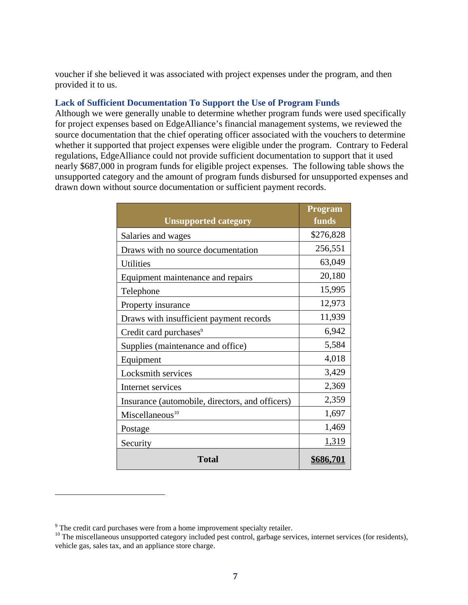voucher if she believed it was associated with project expenses under the program, and then provided it to us.

#### **Lack of Sufficient Documentation To Support the Use of Program Funds**

Although we were generally unable to determine whether program funds were used specifically for project expenses based on EdgeAlliance's financial management systems, we reviewed the source documentation that the chief operating officer associated with the vouchers to determine whether it supported that project expenses were eligible under the program. Contrary to Federal regulations, EdgeAlliance could not provide sufficient documentation to support that it used nearly \$687,000 in program funds for eligible project expenses. The following table shows the unsupported category and the amount of program funds disbursed for unsupported expenses and drawn down without source documentation or sufficient payment records.

|                                                 | <b>Program</b>   |
|-------------------------------------------------|------------------|
| <b>Unsupported category</b>                     | funds            |
| Salaries and wages                              | \$276,828        |
| Draws with no source documentation              | 256,551          |
| Utilities                                       | 63,049           |
| Equipment maintenance and repairs               | 20,180           |
| Telephone                                       | 15,995           |
| Property insurance                              | 12,973           |
| Draws with insufficient payment records         | 11,939           |
| Credit card purchases <sup>9</sup>              | 6,942            |
| Supplies (maintenance and office)               | 5,584            |
| Equipment                                       | 4,018            |
| Locksmith services                              | 3,429            |
| Internet services                               | 2,369            |
| Insurance (automobile, directors, and officers) | 2,359            |
| Miscellaneous <sup>10</sup>                     | 1,697            |
| Postage                                         | 1,469            |
| Security                                        | 1,319            |
| <b>Total</b>                                    | <u>\$686,701</u> |

l

<sup>&</sup>lt;sup>9</sup> The credit card purchases were from a home improvement specialty retailer.

<sup>&</sup>lt;sup>10</sup> The miscellaneous unsupported category included pest control, garbage services, internet services (for residents), vehicle gas, sales tax, and an appliance store charge.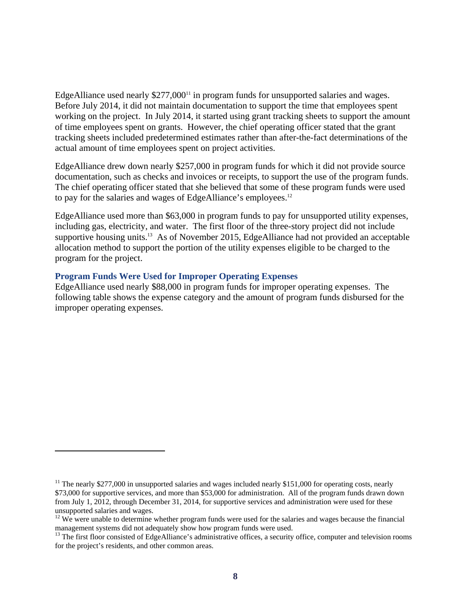EdgeAlliance used nearly  $$277,000<sup>11</sup>$  in program funds for unsupported salaries and wages. Before July 2014, it did not maintain documentation to support the time that employees spent working on the project. In July 2014, it started using grant tracking sheets to support the amount of time employees spent on grants. However, the chief operating officer stated that the grant tracking sheets included predetermined estimates rather than after-the-fact determinations of the actual amount of time employees spent on project activities.

EdgeAlliance drew down nearly \$257,000 in program funds for which it did not provide source documentation, such as checks and invoices or receipts, to support the use of the program funds. The chief operating officer stated that she believed that some of these program funds were used to pay for the salaries and wages of EdgeAlliance's employees.<sup>12</sup>

EdgeAlliance used more than \$63,000 in program funds to pay for unsupported utility expenses, including gas, electricity, and water. The first floor of the three-story project did not include supportive housing units.<sup>13</sup> As of November 2015, EdgeAlliance had not provided an acceptable allocation method to support the portion of the utility expenses eligible to be charged to the program for the project.

#### **Program Funds Were Used for Improper Operating Expenses**

l

EdgeAlliance used nearly \$88,000 in program funds for improper operating expenses. The following table shows the expense category and the amount of program funds disbursed for the improper operating expenses.

<sup>&</sup>lt;sup>11</sup> The nearly \$277,000 in unsupported salaries and wages included nearly \$151,000 for operating costs, nearly \$73,000 for supportive services, and more than \$53,000 for administration. All of the program funds drawn down from July 1, 2012, through December 31, 2014, for supportive services and administration were used for these unsupported salaries and wages.

 $12$  We were unable to determine whether program funds were used for the salaries and wages because the financial management systems did not adequately show how program funds were used.

<sup>&</sup>lt;sup>13</sup> The first floor consisted of EdgeAlliance's administrative offices, a security office, computer and television rooms for the project's residents, and other common areas.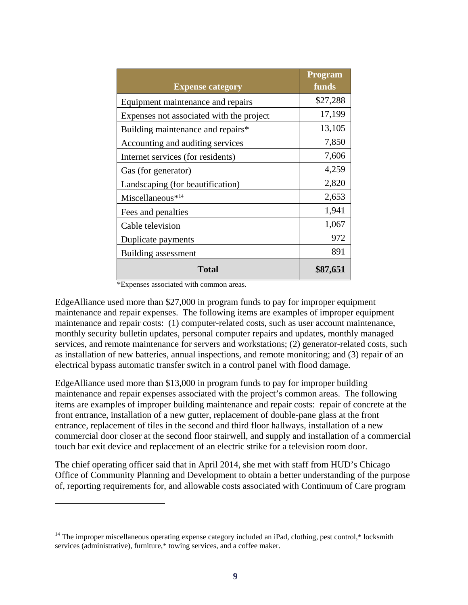| <b>Expense category</b>                  | <b>Program</b><br>funds |
|------------------------------------------|-------------------------|
| Equipment maintenance and repairs        | \$27,288                |
| Expenses not associated with the project | 17,199                  |
| Building maintenance and repairs*        | 13,105                  |
| Accounting and auditing services         | 7,850                   |
| Internet services (for residents)        | 7,606                   |
| Gas (for generator)                      | 4,259                   |
| Landscaping (for beautification)         | 2,820                   |
| Miscellaneous* <sup>14</sup>             | 2,653                   |
| Fees and penalties                       | 1,941                   |
| Cable television                         | 1,067                   |
| Duplicate payments                       | 972                     |
| Building assessment                      | 891                     |
| <b>Total</b>                             |                         |

\*Expenses associated with common areas.

l

EdgeAlliance used more than \$27,000 in program funds to pay for improper equipment maintenance and repair expenses. The following items are examples of improper equipment maintenance and repair costs: (1) computer-related costs, such as user account maintenance, monthly security bulletin updates, personal computer repairs and updates, monthly managed services, and remote maintenance for servers and workstations; (2) generator-related costs, such as installation of new batteries, annual inspections, and remote monitoring; and (3) repair of an electrical bypass automatic transfer switch in a control panel with flood damage.

EdgeAlliance used more than \$13,000 in program funds to pay for improper building maintenance and repair expenses associated with the project's common areas. The following items are examples of improper building maintenance and repair costs: repair of concrete at the front entrance, installation of a new gutter, replacement of double-pane glass at the front entrance, replacement of tiles in the second and third floor hallways, installation of a new commercial door closer at the second floor stairwell, and supply and installation of a commercial touch bar exit device and replacement of an electric strike for a television room door.

The chief operating officer said that in April 2014, she met with staff from HUD's Chicago Office of Community Planning and Development to obtain a better understanding of the purpose of, reporting requirements for, and allowable costs associated with Continuum of Care program

<sup>&</sup>lt;sup>14</sup> The improper miscellaneous operating expense category included an iPad, clothing, pest control,\* locksmith services (administrative), furniture,\* towing services, and a coffee maker.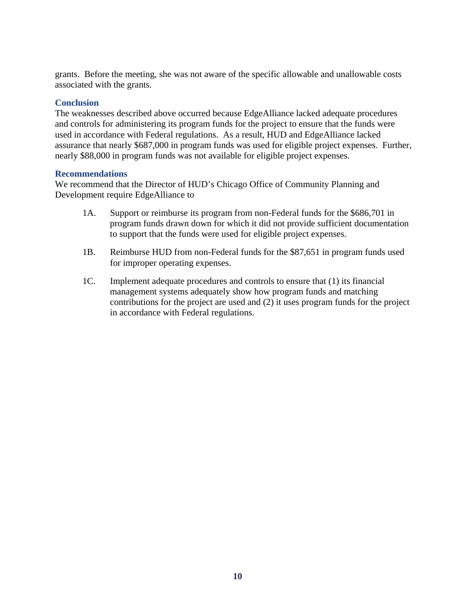grants. Before the meeting, she was not aware of the specific allowable and unallowable costs associated with the grants.

#### **Conclusion**

The weaknesses described above occurred because EdgeAlliance lacked adequate procedures and controls for administering its program funds for the project to ensure that the funds were used in accordance with Federal regulations. As a result, HUD and EdgeAlliance lacked assurance that nearly \$687,000 in program funds was used for eligible project expenses. Further, nearly \$88,000 in program funds was not available for eligible project expenses.

#### **Recommendations**

We recommend that the Director of HUD's Chicago Office of Community Planning and Development require EdgeAlliance to

- 1A. Support or reimburse its program from non-Federal funds for the \$686,701 in program funds drawn down for which it did not provide sufficient documentation to support that the funds were used for eligible project expenses.
- 1B. Reimburse HUD from non-Federal funds for the \$87,651 in program funds used for improper operating expenses.
- 1C. Implement adequate procedures and controls to ensure that (1) its financial management systems adequately show how program funds and matching contributions for the project are used and (2) it uses program funds for the project in accordance with Federal regulations.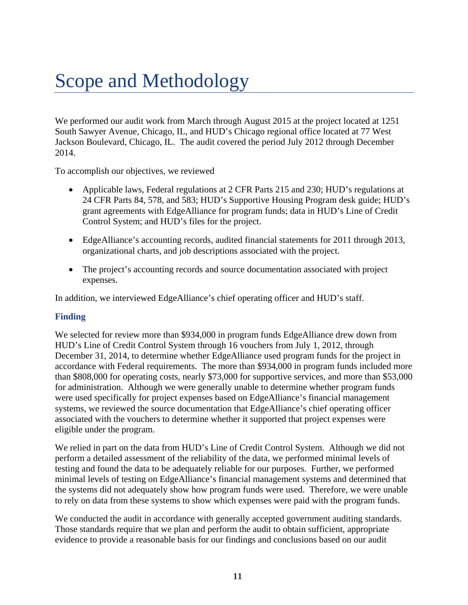## Scope and Methodology

We performed our audit work from March through August 2015 at the project located at 1251 South Sawyer Avenue, Chicago, IL, and HUD's Chicago regional office located at 77 West Jackson Boulevard, Chicago, IL. The audit covered the period July 2012 through December 2014.

To accomplish our objectives, we reviewed

- Applicable laws, Federal regulations at 2 CFR Parts 215 and 230; HUD's regulations at 24 CFR Parts 84, 578, and 583; HUD's Supportive Housing Program desk guide; HUD's grant agreements with EdgeAlliance for program funds; data in HUD's Line of Credit Control System; and HUD's files for the project.
- EdgeAlliance's accounting records, audited financial statements for 2011 through 2013, organizational charts, and job descriptions associated with the project.
- The project's accounting records and source documentation associated with project expenses.

In addition, we interviewed EdgeAlliance's chief operating officer and HUD's staff.

### **Finding**

We selected for review more than \$934,000 in program funds EdgeAlliance drew down from HUD's Line of Credit Control System through 16 vouchers from July 1, 2012, through December 31, 2014, to determine whether EdgeAlliance used program funds for the project in accordance with Federal requirements. The more than \$934,000 in program funds included more than \$808,000 for operating costs, nearly \$73,000 for supportive services, and more than \$53,000 for administration. Although we were generally unable to determine whether program funds were used specifically for project expenses based on EdgeAlliance's financial management systems, we reviewed the source documentation that EdgeAlliance's chief operating officer associated with the vouchers to determine whether it supported that project expenses were eligible under the program.

We relied in part on the data from HUD's Line of Credit Control System. Although we did not perform a detailed assessment of the reliability of the data, we performed minimal levels of testing and found the data to be adequately reliable for our purposes. Further, we performed minimal levels of testing on EdgeAlliance's financial management systems and determined that the systems did not adequately show how program funds were used. Therefore, we were unable to rely on data from these systems to show which expenses were paid with the program funds.

We conducted the audit in accordance with generally accepted government auditing standards. Those standards require that we plan and perform the audit to obtain sufficient, appropriate evidence to provide a reasonable basis for our findings and conclusions based on our audit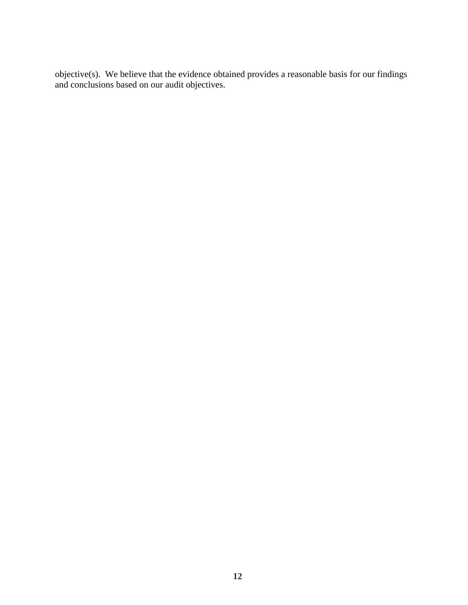objective(s). We believe that the evidence obtained provides a reasonable basis for our findings and conclusions based on our audit objectives.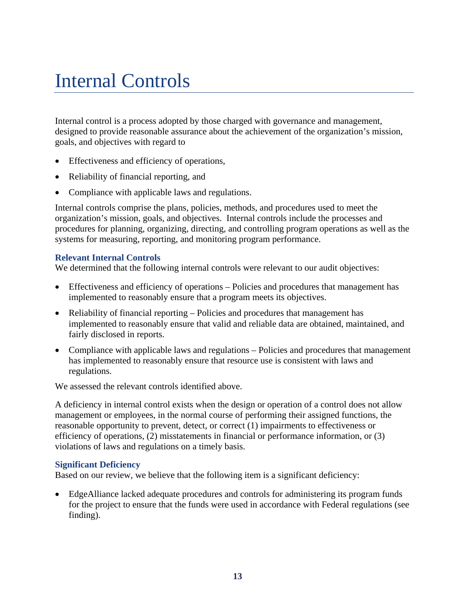## Internal Controls

Internal control is a process adopted by those charged with governance and management, designed to provide reasonable assurance about the achievement of the organization's mission, goals, and objectives with regard to

- Effectiveness and efficiency of operations,
- Reliability of financial reporting, and
- Compliance with applicable laws and regulations.

Internal controls comprise the plans, policies, methods, and procedures used to meet the organization's mission, goals, and objectives. Internal controls include the processes and procedures for planning, organizing, directing, and controlling program operations as well as the systems for measuring, reporting, and monitoring program performance.

#### **Relevant Internal Controls**

We determined that the following internal controls were relevant to our audit objectives:

- Effectiveness and efficiency of operations Policies and procedures that management has implemented to reasonably ensure that a program meets its objectives.
- Reliability of financial reporting Policies and procedures that management has implemented to reasonably ensure that valid and reliable data are obtained, maintained, and fairly disclosed in reports.
- Compliance with applicable laws and regulations Policies and procedures that management has implemented to reasonably ensure that resource use is consistent with laws and regulations.

We assessed the relevant controls identified above.

A deficiency in internal control exists when the design or operation of a control does not allow management or employees, in the normal course of performing their assigned functions, the reasonable opportunity to prevent, detect, or correct (1) impairments to effectiveness or efficiency of operations, (2) misstatements in financial or performance information, or (3) violations of laws and regulations on a timely basis.

#### **Significant Deficiency**

Based on our review, we believe that the following item is a significant deficiency:

 EdgeAlliance lacked adequate procedures and controls for administering its program funds for the project to ensure that the funds were used in accordance with Federal regulations (see finding).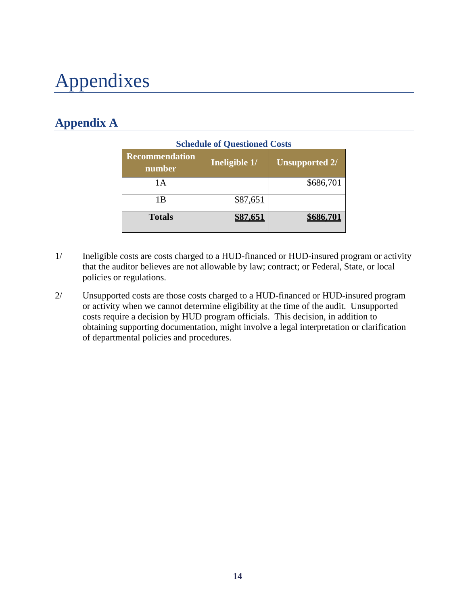## Appendixes

### **Appendix A**

|                                 | <b>Schedule of Questioned Costs</b> |                       |
|---------------------------------|-------------------------------------|-----------------------|
| <b>Recommendation</b><br>number | Ineligible 1/                       | <b>Unsupported 2/</b> |
| 1 A                             |                                     | \$686,701             |
| 1 B                             | \$87,651                            |                       |
| <b>Totals</b>                   |                                     |                       |

- 1/ Ineligible costs are costs charged to a HUD-financed or HUD-insured program or activity that the auditor believes are not allowable by law; contract; or Federal, State, or local policies or regulations.
- 2/ Unsupported costs are those costs charged to a HUD-financed or HUD-insured program or activity when we cannot determine eligibility at the time of the audit. Unsupported costs require a decision by HUD program officials. This decision, in addition to obtaining supporting documentation, might involve a legal interpretation or clarification of departmental policies and procedures.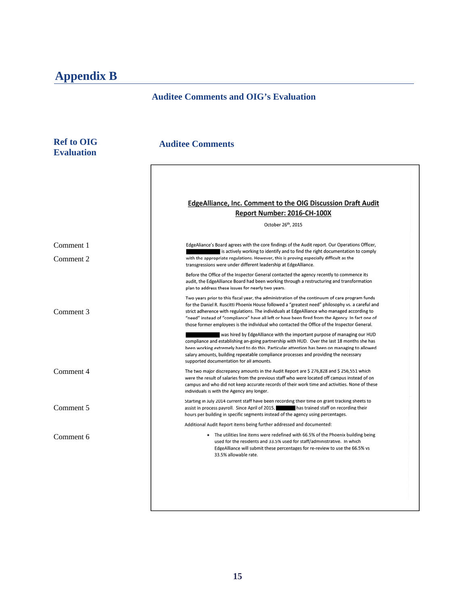### **Appendix B**

### **Auditee Comments and OIG's Evaluation**

| <b>Ref to OIG</b><br><b>Evaluation</b> | <b>Auditee Comments</b>                                                                                                                                                                                                                                                                                                                                                                                                                                                                             |
|----------------------------------------|-----------------------------------------------------------------------------------------------------------------------------------------------------------------------------------------------------------------------------------------------------------------------------------------------------------------------------------------------------------------------------------------------------------------------------------------------------------------------------------------------------|
|                                        | <b>EdgeAlliance, Inc. Comment to the OIG Discussion Draft Audit</b><br>Report Number: 2016-CH-100X<br>October 26th, 2015                                                                                                                                                                                                                                                                                                                                                                            |
| Comment 1<br>Comment 2                 | EdgeAliance's Board agrees with the core findings of the Audit report. Our Operations Officer,<br>is actively working to identify and to find the right documentation to comply<br>with the appropriate regulations. However, this is proving especially difficult as the<br>transgressions were under different leadership at EdgeAlliance.                                                                                                                                                        |
|                                        | Before the Office of the Inspector General contacted the agency recently to commence its<br>audit, the EdgeAlliance Board had been working through a restructuring and transformation<br>plan to address these issues for nearly two years.                                                                                                                                                                                                                                                         |
| Comment 3                              | Two years prior to this fiscal year, the administration of the continuum of care program funds<br>for the Daniel R. Ruscitti Phoenix House followed a "greatest need" philosophy vs. a careful and<br>strict adherence with regulations. The individuals at EdgeAlliance who managed according to<br>"need" instead of "compliance" have all left or have been fired from the Agency. In fact one of<br>those former employees is the individual who contacted the Office of the Inspector General. |
|                                        | was hired by EdgeAlliance with the important purpose of managing our HUD<br>compliance and establishing an-going partnership with HUD. Over the last 18 months she has<br>been working extremely hard to do this. Particular attention has been on managing to allowed<br>salary amounts, building repeatable compliance processes and providing the necessary<br>supported documentation for all amounts.                                                                                          |
| Comment 4                              | The two major discrepancy amounts in the Audit Report are \$ 276,828 and \$ 256,551 which<br>were the result of salaries from the previous staff who were located off campus instead of on<br>campus and who did not keep accurate records of their work time and activities. None of these<br>individuals is with the Agency any longer.                                                                                                                                                           |
| Comment 5                              | Starting in July 2014 current staff have been recording their time on grant tracking sheets to<br>assist in process payroll. Since April of 2015, has trained staff on recording their<br>hours per building in specific segments instead of the agency using percentages.                                                                                                                                                                                                                          |
| Comment 6                              | Additional Audit Report items being further addressed and documented:<br>• The utilities line items were redefined with 66.5% of the Phoenix building being<br>used for the residents and 33.5% used for staff/administrative. In which<br>EdgeAlliance will submit these percentages for re-review to use the 66.5% vs<br>33.5% allowable rate.                                                                                                                                                    |
|                                        |                                                                                                                                                                                                                                                                                                                                                                                                                                                                                                     |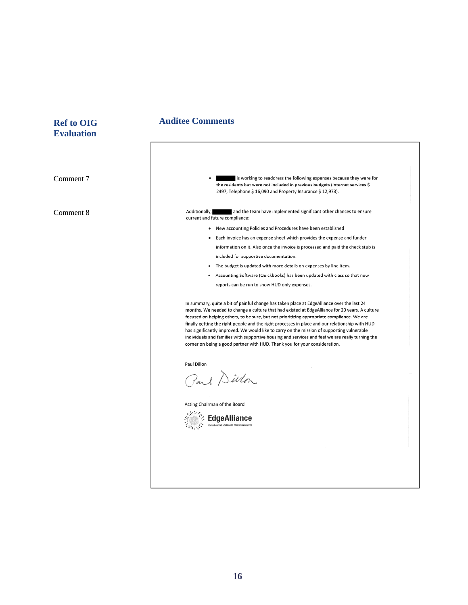## **Evaluation**

Comment 7 Comment 8

### **Ref to OIG 40 Auditee Comments**

| Additionally,<br>and the team have implemented significant other chances to ensure<br>current and future compliance:<br>• New accounting Policies and Procedures have been established<br>• Each invoice has an expense sheet which provides the expense and funder<br>information on it. Also once the invoice is processed and paid the check stub is<br>included for supportive documentation.<br>The budget is updated with more details on expenses by line item.<br>Accounting Software (Quickbooks) has been updated with class so that now<br>٠<br>reports can be run to show HUD only expenses.<br>In summary, quite a bit of painful change has taken place at EdgeAlliance over the last 24<br>months. We needed to change a culture that had existed at EdgeAlliance for 20 years. A culture<br>focused on helping others, to be sure, but not prioritizing appropriate compliance. We are<br>finally getting the right people and the right processes in place and our relationship with HUD<br>has significantly improved. We would like to carry on the mission of supporting vulnerable<br>individuals and families with supportive housing and services and feel we are really turning the<br>corner on being a good partner with HUD. Thank you for your consideration.<br>Paul Dillon<br>Paul Dillon<br>Acting Chairman of the Board<br>EdgeAlliance<br>REVOLUTIONIZING NONPROFITS. TRANSFORMING LIVES | is working to readdress the following expenses because they were for<br>the residents but were not included in previous budgets (Internet services \$<br>2497, Telephone \$16,090 and Property Insurance \$12,973). |
|---------------------------------------------------------------------------------------------------------------------------------------------------------------------------------------------------------------------------------------------------------------------------------------------------------------------------------------------------------------------------------------------------------------------------------------------------------------------------------------------------------------------------------------------------------------------------------------------------------------------------------------------------------------------------------------------------------------------------------------------------------------------------------------------------------------------------------------------------------------------------------------------------------------------------------------------------------------------------------------------------------------------------------------------------------------------------------------------------------------------------------------------------------------------------------------------------------------------------------------------------------------------------------------------------------------------------------------------------------------------------------------------------------------------------|---------------------------------------------------------------------------------------------------------------------------------------------------------------------------------------------------------------------|
|                                                                                                                                                                                                                                                                                                                                                                                                                                                                                                                                                                                                                                                                                                                                                                                                                                                                                                                                                                                                                                                                                                                                                                                                                                                                                                                                                                                                                           |                                                                                                                                                                                                                     |
|                                                                                                                                                                                                                                                                                                                                                                                                                                                                                                                                                                                                                                                                                                                                                                                                                                                                                                                                                                                                                                                                                                                                                                                                                                                                                                                                                                                                                           |                                                                                                                                                                                                                     |
|                                                                                                                                                                                                                                                                                                                                                                                                                                                                                                                                                                                                                                                                                                                                                                                                                                                                                                                                                                                                                                                                                                                                                                                                                                                                                                                                                                                                                           |                                                                                                                                                                                                                     |
|                                                                                                                                                                                                                                                                                                                                                                                                                                                                                                                                                                                                                                                                                                                                                                                                                                                                                                                                                                                                                                                                                                                                                                                                                                                                                                                                                                                                                           |                                                                                                                                                                                                                     |
|                                                                                                                                                                                                                                                                                                                                                                                                                                                                                                                                                                                                                                                                                                                                                                                                                                                                                                                                                                                                                                                                                                                                                                                                                                                                                                                                                                                                                           |                                                                                                                                                                                                                     |
|                                                                                                                                                                                                                                                                                                                                                                                                                                                                                                                                                                                                                                                                                                                                                                                                                                                                                                                                                                                                                                                                                                                                                                                                                                                                                                                                                                                                                           |                                                                                                                                                                                                                     |
|                                                                                                                                                                                                                                                                                                                                                                                                                                                                                                                                                                                                                                                                                                                                                                                                                                                                                                                                                                                                                                                                                                                                                                                                                                                                                                                                                                                                                           |                                                                                                                                                                                                                     |
|                                                                                                                                                                                                                                                                                                                                                                                                                                                                                                                                                                                                                                                                                                                                                                                                                                                                                                                                                                                                                                                                                                                                                                                                                                                                                                                                                                                                                           |                                                                                                                                                                                                                     |
|                                                                                                                                                                                                                                                                                                                                                                                                                                                                                                                                                                                                                                                                                                                                                                                                                                                                                                                                                                                                                                                                                                                                                                                                                                                                                                                                                                                                                           |                                                                                                                                                                                                                     |
|                                                                                                                                                                                                                                                                                                                                                                                                                                                                                                                                                                                                                                                                                                                                                                                                                                                                                                                                                                                                                                                                                                                                                                                                                                                                                                                                                                                                                           |                                                                                                                                                                                                                     |
|                                                                                                                                                                                                                                                                                                                                                                                                                                                                                                                                                                                                                                                                                                                                                                                                                                                                                                                                                                                                                                                                                                                                                                                                                                                                                                                                                                                                                           |                                                                                                                                                                                                                     |
|                                                                                                                                                                                                                                                                                                                                                                                                                                                                                                                                                                                                                                                                                                                                                                                                                                                                                                                                                                                                                                                                                                                                                                                                                                                                                                                                                                                                                           |                                                                                                                                                                                                                     |
|                                                                                                                                                                                                                                                                                                                                                                                                                                                                                                                                                                                                                                                                                                                                                                                                                                                                                                                                                                                                                                                                                                                                                                                                                                                                                                                                                                                                                           |                                                                                                                                                                                                                     |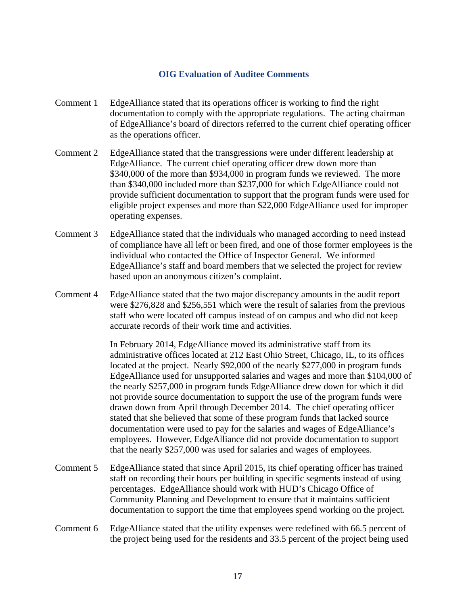#### **OIG Evaluation of Auditee Comments**

- Comment 1 EdgeAlliance stated that its operations officer is working to find the right documentation to comply with the appropriate regulations. The acting chairman of EdgeAlliance's board of directors referred to the current chief operating officer as the operations officer.
- Comment 2 EdgeAlliance stated that the transgressions were under different leadership at EdgeAlliance. The current chief operating officer drew down more than \$340,000 of the more than \$934,000 in program funds we reviewed. The more than \$340,000 included more than \$237,000 for which EdgeAlliance could not provide sufficient documentation to support that the program funds were used for eligible project expenses and more than \$22,000 EdgeAlliance used for improper operating expenses.
- Comment 3 EdgeAlliance stated that the individuals who managed according to need instead of compliance have all left or been fired, and one of those former employees is the individual who contacted the Office of Inspector General. We informed EdgeAlliance's staff and board members that we selected the project for review based upon an anonymous citizen's complaint.
- Comment 4 EdgeAlliance stated that the two major discrepancy amounts in the audit report were \$276,828 and \$256,551 which were the result of salaries from the previous staff who were located off campus instead of on campus and who did not keep accurate records of their work time and activities.

 In February 2014, EdgeAlliance moved its administrative staff from its administrative offices located at 212 East Ohio Street, Chicago, IL, to its offices located at the project. Nearly \$92,000 of the nearly \$277,000 in program funds EdgeAlliance used for unsupported salaries and wages and more than \$104,000 of the nearly \$257,000 in program funds EdgeAlliance drew down for which it did not provide source documentation to support the use of the program funds were drawn down from April through December 2014. The chief operating officer stated that she believed that some of these program funds that lacked source documentation were used to pay for the salaries and wages of EdgeAlliance's employees. However, EdgeAlliance did not provide documentation to support that the nearly \$257,000 was used for salaries and wages of employees.

- Comment 5 EdgeAlliance stated that since April 2015, its chief operating officer has trained staff on recording their hours per building in specific segments instead of using percentages. EdgeAlliance should work with HUD's Chicago Office of Community Planning and Development to ensure that it maintains sufficient documentation to support the time that employees spend working on the project.
- Comment 6 EdgeAlliance stated that the utility expenses were redefined with 66.5 percent of the project being used for the residents and 33.5 percent of the project being used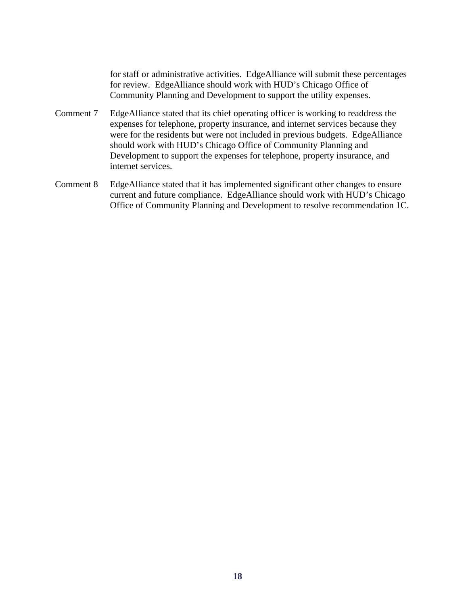for staff or administrative activities. EdgeAlliance will submit these percentages for review. EdgeAlliance should work with HUD's Chicago Office of Community Planning and Development to support the utility expenses.

- Comment 7 EdgeAlliance stated that its chief operating officer is working to readdress the expenses for telephone, property insurance, and internet services because they were for the residents but were not included in previous budgets. EdgeAlliance should work with HUD's Chicago Office of Community Planning and Development to support the expenses for telephone, property insurance, and internet services.
- Comment 8 EdgeAlliance stated that it has implemented significant other changes to ensure current and future compliance. EdgeAlliance should work with HUD's Chicago Office of Community Planning and Development to resolve recommendation 1C.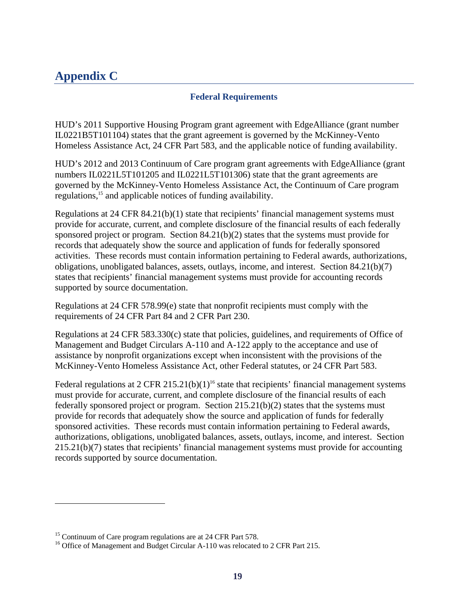### **Appendix C**

### **Federal Requirements**

HUD's 2011 Supportive Housing Program grant agreement with EdgeAlliance (grant number IL0221B5T101104) states that the grant agreement is governed by the McKinney-Vento Homeless Assistance Act, 24 CFR Part 583, and the applicable notice of funding availability.

HUD's 2012 and 2013 Continuum of Care program grant agreements with EdgeAlliance (grant numbers IL0221L5T101205 and IL0221L5T101306) state that the grant agreements are governed by the McKinney-Vento Homeless Assistance Act, the Continuum of Care program regulations,<sup>15</sup> and applicable notices of funding availability.

Regulations at 24 CFR 84.21(b)(1) state that recipients' financial management systems must provide for accurate, current, and complete disclosure of the financial results of each federally sponsored project or program. Section 84.21(b)(2) states that the systems must provide for records that adequately show the source and application of funds for federally sponsored activities. These records must contain information pertaining to Federal awards, authorizations, obligations, unobligated balances, assets, outlays, income, and interest. Section 84.21(b)(7) states that recipients' financial management systems must provide for accounting records supported by source documentation.

Regulations at 24 CFR 578.99(e) state that nonprofit recipients must comply with the requirements of 24 CFR Part 84 and 2 CFR Part 230.

Regulations at 24 CFR 583.330(c) state that policies, guidelines, and requirements of Office of Management and Budget Circulars A-110 and A-122 apply to the acceptance and use of assistance by nonprofit organizations except when inconsistent with the provisions of the McKinney-Vento Homeless Assistance Act, other Federal statutes, or 24 CFR Part 583.

Federal regulations at  $2 \text{ CFR } 215.21(b)(1)^{16}$  state that recipients' financial management systems must provide for accurate, current, and complete disclosure of the financial results of each federally sponsored project or program. Section 215.21(b)(2) states that the systems must provide for records that adequately show the source and application of funds for federally sponsored activities. These records must contain information pertaining to Federal awards, authorizations, obligations, unobligated balances, assets, outlays, income, and interest. Section 215.21(b)(7) states that recipients' financial management systems must provide for accounting records supported by source documentation.

l

<sup>&</sup>lt;sup>15</sup> Continuum of Care program regulations are at 24 CFR Part 578.

<sup>&</sup>lt;sup>16</sup> Office of Management and Budget Circular A-110 was relocated to 2 CFR Part 215.